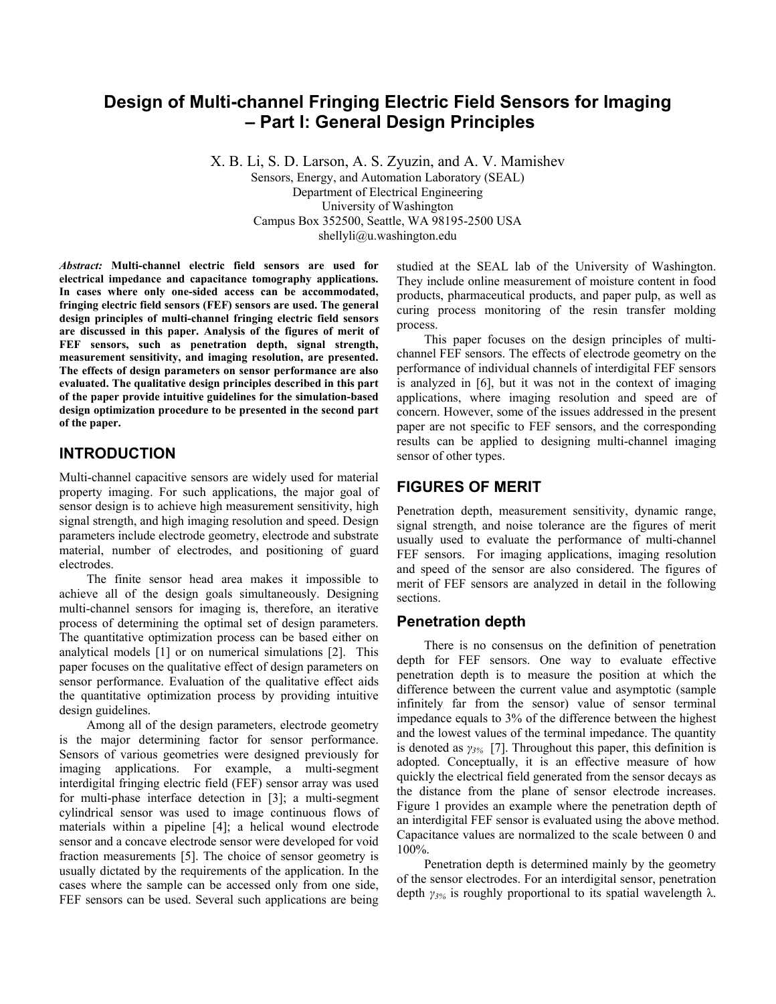# **Design of Multi-channel Fringing Electric Field Sensors for Imaging – Part I: General Design Principles**

X. B. Li, S. D. Larson, A. S. Zyuzin, and A. V. Mamishev Sensors, Energy, and Automation Laboratory (SEAL) Department of Electrical Engineering University of Washington Campus Box 352500, Seattle, WA 98195-2500 USA shellyli@u.washington.edu

*Abstract:* **Multi-channel electric field sensors are used for electrical impedance and capacitance tomography applications. In cases where only one-sided access can be accommodated, fringing electric field sensors (FEF) sensors are used. The general design principles of multi-channel fringing electric field sensors are discussed in this paper. Analysis of the figures of merit of FEF sensors, such as penetration depth, signal strength, measurement sensitivity, and imaging resolution, are presented. The effects of design parameters on sensor performance are also evaluated. The qualitative design principles described in this part of the paper provide intuitive guidelines for the simulation-based design optimization procedure to be presented in the second part of the paper.** 

#### **INTRODUCTION**

Multi-channel capacitive sensors are widely used for material property imaging. For such applications, the major goal of sensor design is to achieve high measurement sensitivity, high signal strength, and high imaging resolution and speed. Design parameters include electrode geometry, electrode and substrate material, number of electrodes, and positioning of guard electrodes.

The finite sensor head area makes it impossible to achieve all of the design goals simultaneously. Designing multi-channel sensors for imaging is, therefore, an iterative process of determining the optimal set of design parameters. The quantitative optimization process can be based either on analytical models [1] or on numerical simulations [2]. This paper focuses on the qualitative effect of design parameters on sensor performance. Evaluation of the qualitative effect aids the quantitative optimization process by providing intuitive design guidelines.

Among all of the design parameters, electrode geometry is the major determining factor for sensor performance. Sensors of various geometries were designed previously for imaging applications. For example, a multi-segment interdigital fringing electric field (FEF) sensor array was used for multi-phase interface detection in [3]; a multi-segment cylindrical sensor was used to image continuous flows of materials within a pipeline [4]; a helical wound electrode sensor and a concave electrode sensor were developed for void fraction measurements [5]. The choice of sensor geometry is usually dictated by the requirements of the application. In the cases where the sample can be accessed only from one side, FEF sensors can be used. Several such applications are being studied at the SEAL lab of the University of Washington. They include online measurement of moisture content in food products, pharmaceutical products, and paper pulp, as well as curing process monitoring of the resin transfer molding process.

This paper focuses on the design principles of multichannel FEF sensors. The effects of electrode geometry on the performance of individual channels of interdigital FEF sensors is analyzed in [6], but it was not in the context of imaging applications, where imaging resolution and speed are of concern. However, some of the issues addressed in the present paper are not specific to FEF sensors, and the corresponding results can be applied to designing multi-channel imaging sensor of other types.

# **FIGURES OF MERIT**

Penetration depth, measurement sensitivity, dynamic range, signal strength, and noise tolerance are the figures of merit usually used to evaluate the performance of multi-channel FEF sensors. For imaging applications, imaging resolution and speed of the sensor are also considered. The figures of merit of FEF sensors are analyzed in detail in the following sections.

#### **Penetration depth**

There is no consensus on the definition of penetration depth for FEF sensors. One way to evaluate effective penetration depth is to measure the position at which the difference between the current value and asymptotic (sample infinitely far from the sensor) value of sensor terminal impedance equals to 3% of the difference between the highest and the lowest values of the terminal impedance. The quantity is denoted as *γ3%* [7]. Throughout this paper, this definition is adopted. Conceptually, it is an effective measure of how quickly the electrical field generated from the sensor decays as the distance from the plane of sensor electrode increases. Figure 1 provides an example where the penetration depth of an interdigital FEF sensor is evaluated using the above method. Capacitance values are normalized to the scale between 0 and 100%.

Penetration depth is determined mainly by the geometry of the sensor electrodes. For an interdigital sensor, penetration depth *γ3%* is roughly proportional to its spatial wavelength λ.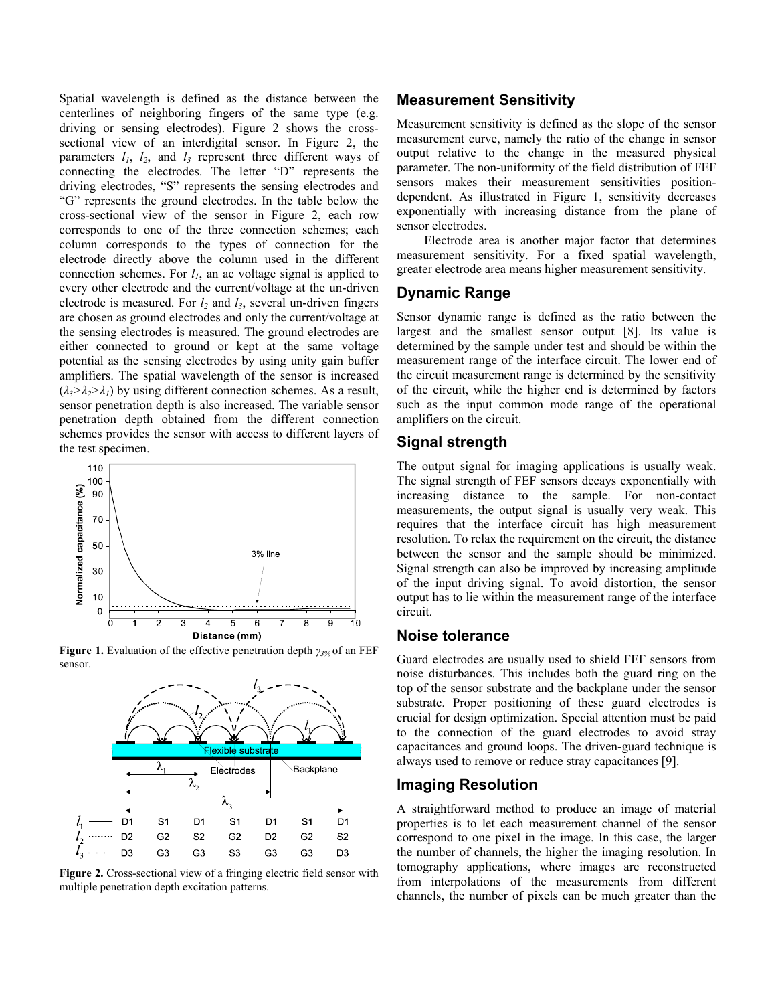Spatial wavelength is defined as the distance between the centerlines of neighboring fingers of the same type (e.g. driving or sensing electrodes). Figure 2 shows the crosssectional view of an interdigital sensor. In Figure 2, the parameters  $l_1$ ,  $l_2$ , and  $l_3$  represent three different ways of connecting the electrodes. The letter "D" represents the driving electrodes, "S" represents the sensing electrodes and "G" represents the ground electrodes. In the table below the cross-sectional view of the sensor in Figure 2, each row corresponds to one of the three connection schemes; each column corresponds to the types of connection for the electrode directly above the column used in the different connection schemes. For  $l_1$ , an ac voltage signal is applied to every other electrode and the current/voltage at the un-driven electrode is measured. For  $l_2$  and  $l_3$ , several un-driven fingers are chosen as ground electrodes and only the current/voltage at the sensing electrodes is measured. The ground electrodes are either connected to ground or kept at the same voltage potential as the sensing electrodes by using unity gain buffer amplifiers. The spatial wavelength of the sensor is increased  $(\lambda_3 > \lambda_2 > \lambda_1)$  by using different connection schemes. As a result, sensor penetration depth is also increased. The variable sensor penetration depth obtained from the different connection schemes provides the sensor with access to different layers of the test specimen.



**Figure 1.** Evaluation of the effective penetration depth *γ3%* of an FEF sensor.



**Figure 2.** Cross-sectional view of a fringing electric field sensor with multiple penetration depth excitation patterns.

#### **Measurement Sensitivity**

Measurement sensitivity is defined as the slope of the sensor measurement curve, namely the ratio of the change in sensor output relative to the change in the measured physical parameter. The non-uniformity of the field distribution of FEF sensors makes their measurement sensitivities positiondependent. As illustrated in Figure 1, sensitivity decreases exponentially with increasing distance from the plane of sensor electrodes.

Electrode area is another major factor that determines measurement sensitivity. For a fixed spatial wavelength, greater electrode area means higher measurement sensitivity.

#### **Dynamic Range**

Sensor dynamic range is defined as the ratio between the largest and the smallest sensor output [8]. Its value is determined by the sample under test and should be within the measurement range of the interface circuit. The lower end of the circuit measurement range is determined by the sensitivity of the circuit, while the higher end is determined by factors such as the input common mode range of the operational amplifiers on the circuit.

#### **Signal strength**

The output signal for imaging applications is usually weak. The signal strength of FEF sensors decays exponentially with increasing distance to the sample. For non-contact measurements, the output signal is usually very weak. This requires that the interface circuit has high measurement resolution. To relax the requirement on the circuit, the distance between the sensor and the sample should be minimized. Signal strength can also be improved by increasing amplitude of the input driving signal. To avoid distortion, the sensor output has to lie within the measurement range of the interface circuit.

#### **Noise tolerance**

Guard electrodes are usually used to shield FEF sensors from noise disturbances. This includes both the guard ring on the top of the sensor substrate and the backplane under the sensor substrate. Proper positioning of these guard electrodes is crucial for design optimization. Special attention must be paid to the connection of the guard electrodes to avoid stray capacitances and ground loops. The driven-guard technique is always used to remove or reduce stray capacitances [9].

#### **Imaging Resolution**

A straightforward method to produce an image of material properties is to let each measurement channel of the sensor correspond to one pixel in the image. In this case, the larger the number of channels, the higher the imaging resolution. In tomography applications, where images are reconstructed from interpolations of the measurements from different channels, the number of pixels can be much greater than the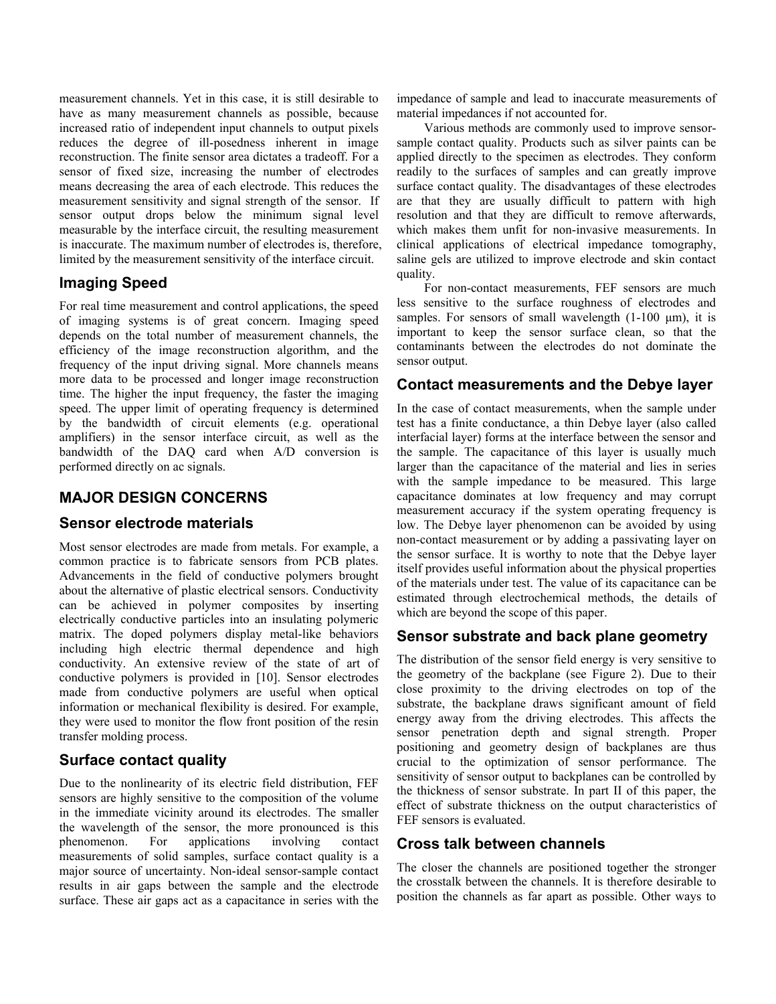measurement channels. Yet in this case, it is still desirable to have as many measurement channels as possible, because increased ratio of independent input channels to output pixels reduces the degree of ill-posedness inherent in image reconstruction. The finite sensor area dictates a tradeoff. For a sensor of fixed size, increasing the number of electrodes means decreasing the area of each electrode. This reduces the measurement sensitivity and signal strength of the sensor. If sensor output drops below the minimum signal level measurable by the interface circuit, the resulting measurement is inaccurate. The maximum number of electrodes is, therefore, limited by the measurement sensitivity of the interface circuit.

# **Imaging Speed**

For real time measurement and control applications, the speed of imaging systems is of great concern. Imaging speed depends on the total number of measurement channels, the efficiency of the image reconstruction algorithm, and the frequency of the input driving signal. More channels means more data to be processed and longer image reconstruction time. The higher the input frequency, the faster the imaging speed. The upper limit of operating frequency is determined by the bandwidth of circuit elements (e.g. operational amplifiers) in the sensor interface circuit, as well as the bandwidth of the DAQ card when A/D conversion is performed directly on ac signals.

# **MAJOR DESIGN CONCERNS**

#### **Sensor electrode materials**

Most sensor electrodes are made from metals. For example, a common practice is to fabricate sensors from PCB plates. Advancements in the field of conductive polymers brought about the alternative of plastic electrical sensors. Conductivity can be achieved in polymer composites by inserting electrically conductive particles into an insulating polymeric matrix. The doped polymers display metal-like behaviors including high electric thermal dependence and high conductivity. An extensive review of the state of art of conductive polymers is provided in [10]. Sensor electrodes made from conductive polymers are useful when optical information or mechanical flexibility is desired. For example, they were used to monitor the flow front position of the resin transfer molding process.

# **Surface contact quality**

Due to the nonlinearity of its electric field distribution, FEF sensors are highly sensitive to the composition of the volume in the immediate vicinity around its electrodes. The smaller the wavelength of the sensor, the more pronounced is this phenomenon. For applications involving contact measurements of solid samples, surface contact quality is a major source of uncertainty. Non-ideal sensor-sample contact results in air gaps between the sample and the electrode surface. These air gaps act as a capacitance in series with the impedance of sample and lead to inaccurate measurements of material impedances if not accounted for.

Various methods are commonly used to improve sensorsample contact quality. Products such as silver paints can be applied directly to the specimen as electrodes. They conform readily to the surfaces of samples and can greatly improve surface contact quality. The disadvantages of these electrodes are that they are usually difficult to pattern with high resolution and that they are difficult to remove afterwards, which makes them unfit for non-invasive measurements. In clinical applications of electrical impedance tomography, saline gels are utilized to improve electrode and skin contact quality.

For non-contact measurements, FEF sensors are much less sensitive to the surface roughness of electrodes and samples. For sensors of small wavelength  $(1-100 \mu m)$ , it is important to keep the sensor surface clean, so that the contaminants between the electrodes do not dominate the sensor output.

### **Contact measurements and the Debye layer**

In the case of contact measurements, when the sample under test has a finite conductance, a thin Debye layer (also called interfacial layer) forms at the interface between the sensor and the sample. The capacitance of this layer is usually much larger than the capacitance of the material and lies in series with the sample impedance to be measured. This large capacitance dominates at low frequency and may corrupt measurement accuracy if the system operating frequency is low. The Debye layer phenomenon can be avoided by using non-contact measurement or by adding a passivating layer on the sensor surface. It is worthy to note that the Debye layer itself provides useful information about the physical properties of the materials under test. The value of its capacitance can be estimated through electrochemical methods, the details of which are beyond the scope of this paper.

# **Sensor substrate and back plane geometry**

The distribution of the sensor field energy is very sensitive to the geometry of the backplane (see Figure 2). Due to their close proximity to the driving electrodes on top of the substrate, the backplane draws significant amount of field energy away from the driving electrodes. This affects the sensor penetration depth and signal strength. Proper positioning and geometry design of backplanes are thus crucial to the optimization of sensor performance. The sensitivity of sensor output to backplanes can be controlled by the thickness of sensor substrate. In part II of this paper, the effect of substrate thickness on the output characteristics of FEF sensors is evaluated.

# **Cross talk between channels**

The closer the channels are positioned together the stronger the crosstalk between the channels. It is therefore desirable to position the channels as far apart as possible. Other ways to